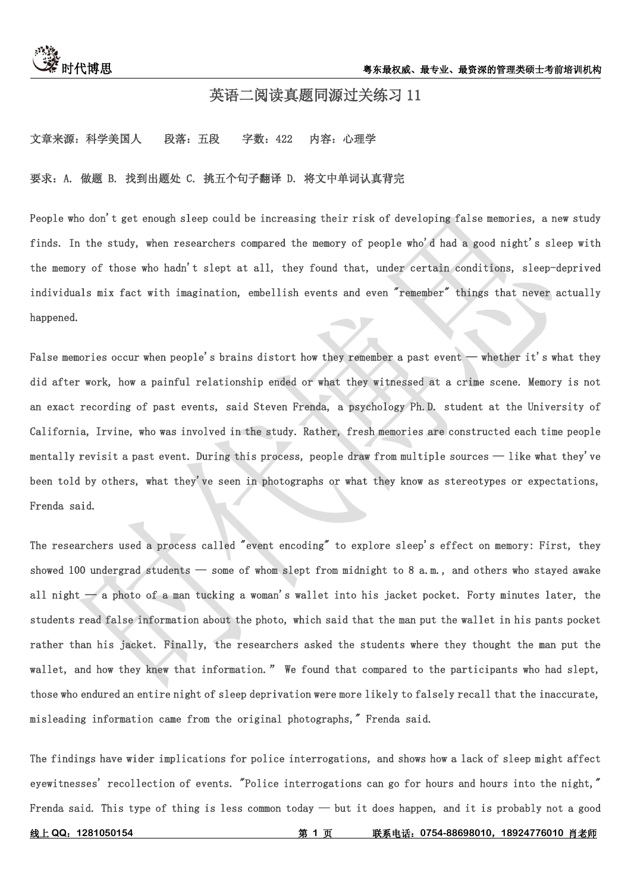

# 英语二阅读真题同源过关练习 11

文章来源:科学美国人 段落:五段 字数:422 内容:心理学

### 要求:A. 做题 B. 找到出题处 C. 挑五个句子翻译 D. 将文中单词认真背完

People who don't get enough sleep could be increasing their risk of developing false memories, a new study finds. In the study, when researchers compared the memory of people who'd had a good night's sleep with the memory of those who hadn't slept at all, they found that, under certain conditions, sleep-deprived individuals mix fact with imagination, embellish events and even "remember" things that never actually happened.

False memories occur when people's brains distort how they remember a past event — whether it's what they did after work, how a painful relationship ended or what they witnessed at a crime scene. Memory is not an exact recording of past events, said Steven Frenda, a psychology Ph.D. student at the University of California, Irvine, who was involved in the study. Rather, fresh memories are constructed each time people mentally revisit a past event. During this process, people draw from multiple sources — like what they've been told by others, what they've seen in photographs or what they know as stereotypes or expectations, Frenda said.

The researchers used a process called "event encoding" to explore sleep's effect on memory: First, they showed 100 undergrad students — some of whom slept from midnight to 8 a.m., and others who stayed awake all night  $-$  a photo of a man tucking a woman's wallet into his jacket pocket. Forty minutes later, the students read false information about the photo, which said that the man put the wallet in his pants pocket rather than his jacket. Finally, the researchers asked the students where they thought the man put the wallet, and how they knew that information." We found that compared to the participants who had slept, those who endured an entire night of sleep deprivation were more likely to falsely recall that the inaccurate, misleading information came from the original photographs," Frenda said.

The findings have wider implications for police interrogations, and shows how a lack of sleep might affect eyewitnesses' recollection of events. "Police interrogations can go for hours and hours into the night," Frenda said. This type of thing is less common today  $-$  but it does happen, and it is probably not a good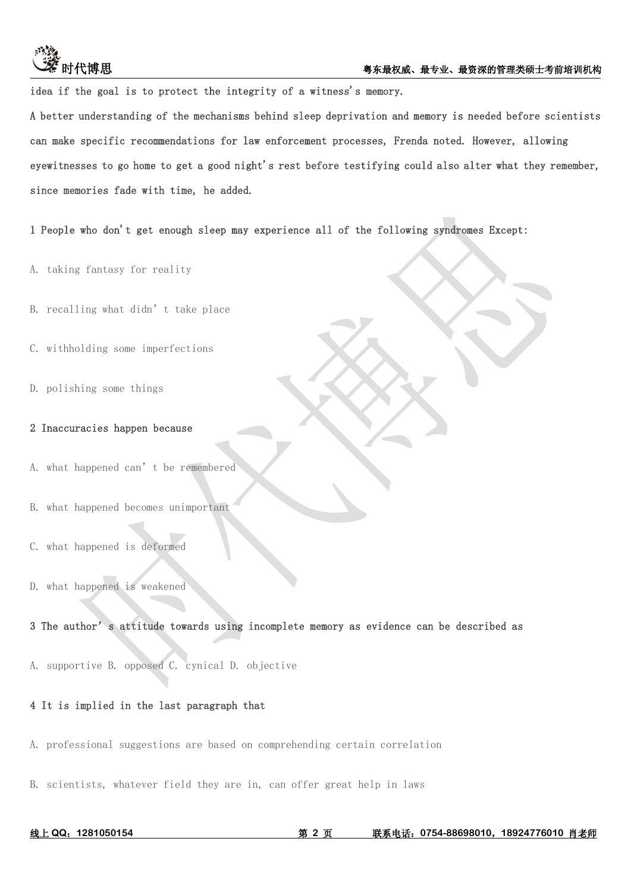

idea if the goal is to protect the integrity of a witness's memory.

A better understanding of the mechanisms behind sleep deprivation and memory is needed before scientists can make specific recommendations for law enforcement processes, Frenda noted. However, allowing eyewitnesses to go home to get a good night's rest before testifying could also alter what they remember, since memories fade with time, he added.

- 1 People who don't get enough sleep may experience all of the following syndromes Except:
- A. taking fantasy for reality
- B. recalling what didn't take place
- C. withholding some imperfections
- D. polishing some things

#### 2 Inaccuracies happen because

- A. what happened can't be remembered
- B. what happened becomes unimportant
- C. what happened is deformed
- D. what happened is weakened

## 3 The author's attitude towards using incomplete memory as evidence can be described as

A. supportive B. opposed C. cynical D. objective

### 4 It is implied in the last paragraph that

- A. professional suggestions are based on comprehending certain correlation
- B. scientists, whatever field they are in, can offer great help in laws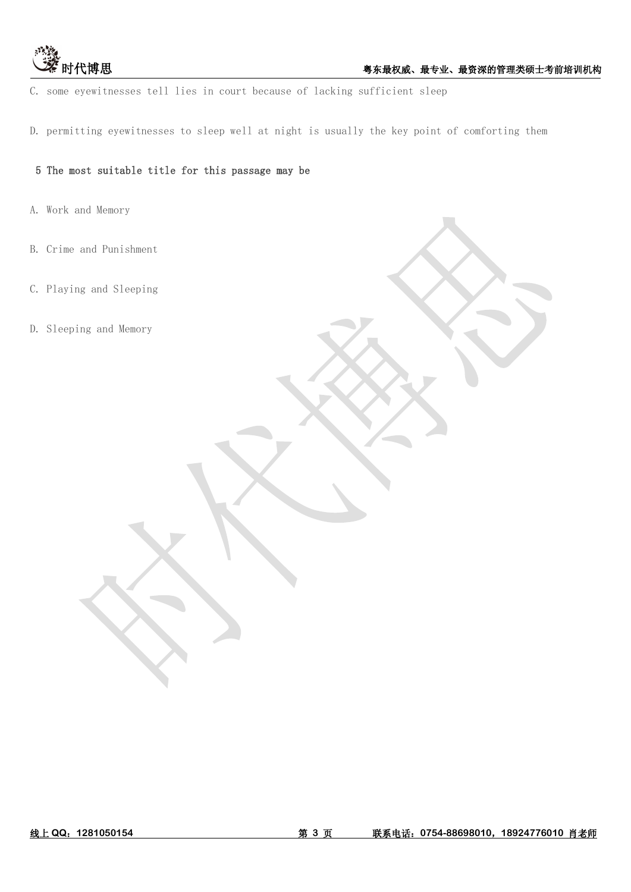

C. some eyewitnesses tell lies in court because of lacking sufficient sleep

D. permitting eyewitnesses to sleep well at night is usually the key point of comforting them

### 5 The most suitable title for this passage may be

- A. Work and Memory
- B. Crime and Punishment
- C. Playing and Sleeping
- D. Sleeping and Memory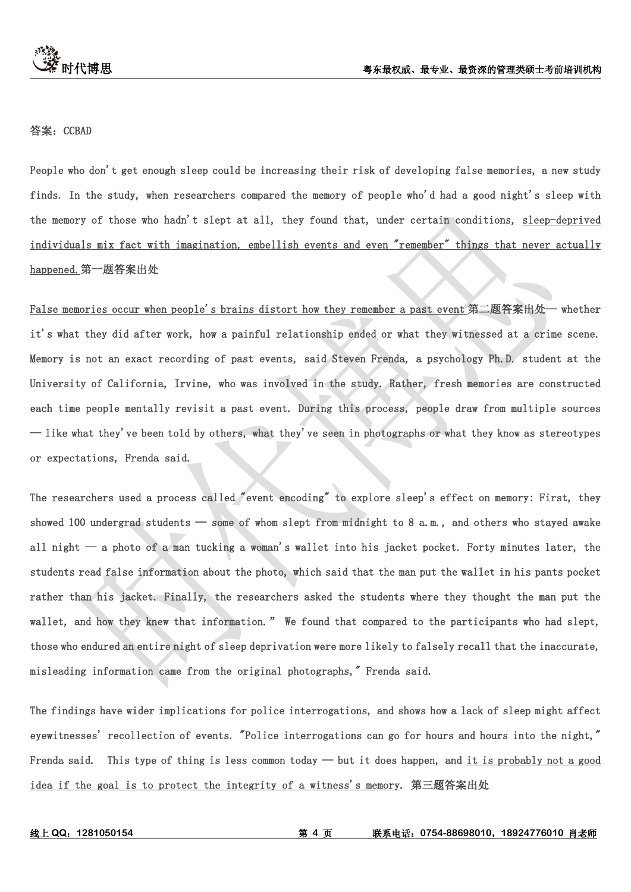#### 答案:CCBAD

People who don't get enough sleep could be increasing their risk of developing false memories, a new study finds. In the study, when researchers compared the memory of people who'd had a good night's sleep with the memory of those who hadn't slept at all, they found that, under certain conditions, sleep-deprived individuals mix fact with imagination, embellish events and even "remember" things that never actually happened.第一题答案出处

False memories occur when people's brains distort how they remember a past event 第二题答案出处— whether it's what they did after work, how a painful relationship ended or what they witnessed at a crime scene. Memory is not an exact recording of past events, said Steven Frenda, a psychology Ph.D. student at the University of California, Irvine, who was involved in the study. Rather, fresh memories are constructed each time people mentally revisit a past event. During this process, people draw from multiple sources  $-$  like what they've been told by others, what they've seen in photographs or what they know as stereotypes or expectations, Frenda said.

The researchers used a process called "event encoding" to explore sleep's effect on memory: First, they showed 100 undergrad students — some of whom slept from midnight to 8 a.m., and others who stayed awake all night — a photo of a man tucking a woman's wallet into his jacket pocket. Forty minutes later, the students read false information about the photo, which said that the man put the wallet in his pants pocket rather than his jacket. Finally, the researchers asked the students where they thought the man put the wallet, and how they knew that information." We found that compared to the participants who had slept, those who endured an entire night of sleep deprivation were more likely to falsely recall that the inaccurate, misleading information came from the original photographs," Frenda said.

The findings have wider implications for police interrogations, and shows how a lack of sleep might affect eyewitnesses' recollection of events. "Police interrogations can go for hours and hours into the night," Frenda said. This type of thing is less common today — but it does happen, and it is probably not a good idea if the goal is to protect the integrity of a witness's memory. 第三题答案出处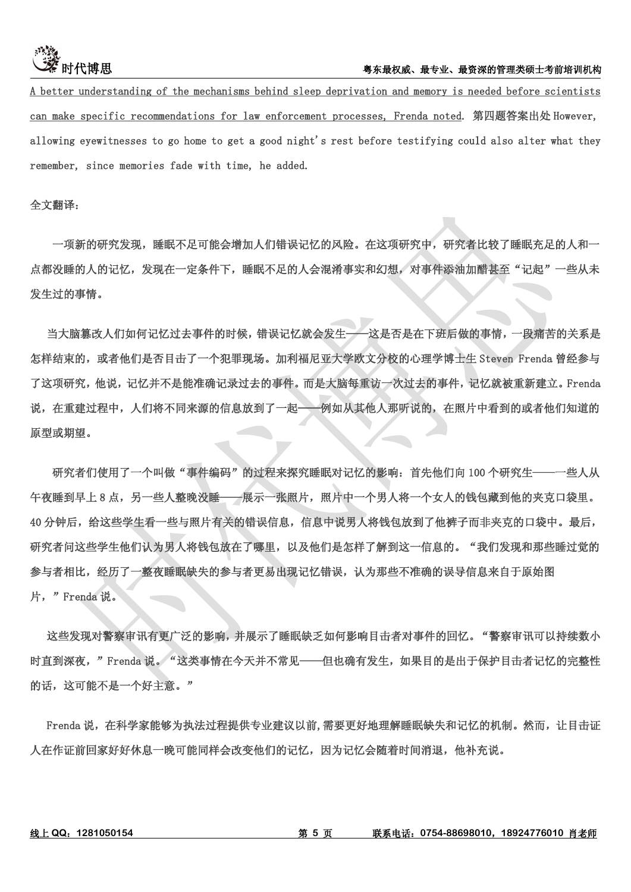

A better understanding of the mechanisms behind sleep deprivation and memory is needed before scientists can make specific recommendations for law enforcement processes, Frenda noted. 第四题答案出处 However, allowing eyewitnesses to go home to get a good night's rest before testifying could also alter what they remember, since memories fade with time, he added.

全文翻译:

一项新的研究发现,睡眠不足可能会增加人们错误记忆的风险。在这项研究中,研究者比较了睡眠充足的人和一 点都没睡的人的记忆,发现在一定条件下,睡眠不足的人会混淆事实和幻想,对事件添油加醋甚至"记起"一些从未 发生过的事情。

当大脑篡改人们如何记忆过去事件的时候,错误记忆就会发生——这是否是在下班后做的事情,一段痛苦的关系是 怎样结束的, 或者他们是否目击了一个犯罪现场。加利福尼亚大学欧文分校的心理学博士生 Steven Frenda 曾经参与 了这项研究,他说,记忆并不是能准确记录过去的事件。而是大脑每重访一次过去的事件,记忆就被重新建立。Frenda 说,在重建过程中,人们将不同来源的信息放到了一起——例如从其他人那听说的,在照片中看到的或者他们知道的 原型或期望。

研究者们使用了一个叫做"事件编码"的过程来探究睡眠对记忆的影响: 首先他们向 100 个研究生——一些人从 午夜睡到早上 8 点,另一些人整晚没睡——展示一张照片,照片中一个男人将一个女人的钱包藏到他的夹克口袋里。 40 分钟后,给这些学生看一些与照片有关的错误信息,信息中说男人将钱包放到了他裤子而非夹克的口袋中。最后, 研究者问这些学生他们认为男人将钱包放在了哪里,以及他们是怎样了解到这一信息的。"我们发现和那些睡过觉的 参与者相比,经历了一整夜睡眠缺失的参与者更易出现记忆错误,认为那些不准确的误导信息来自于原始图 片,"Frenda 说。

这些发现对警察审讯有更广泛的影响,并展示了睡眠缺乏如何影响目击者对事件的回忆。"警察审讯可以持续数小 时直到深夜,"Frenda 说。"这类事情在今天并不常见——但也确有发生,如果目的是出于保护目击者记忆的完整性 的话,这可能不是一个好主意。"

Frenda 说,在科学家能够为执法过程提供专业建议以前,需要更好地理解睡眠缺失和记忆的机制。然而,让目击证 人在作证前回家好好休息一晚可能同样会改变他们的记忆,因为记忆会随着时间消退,他补充说。